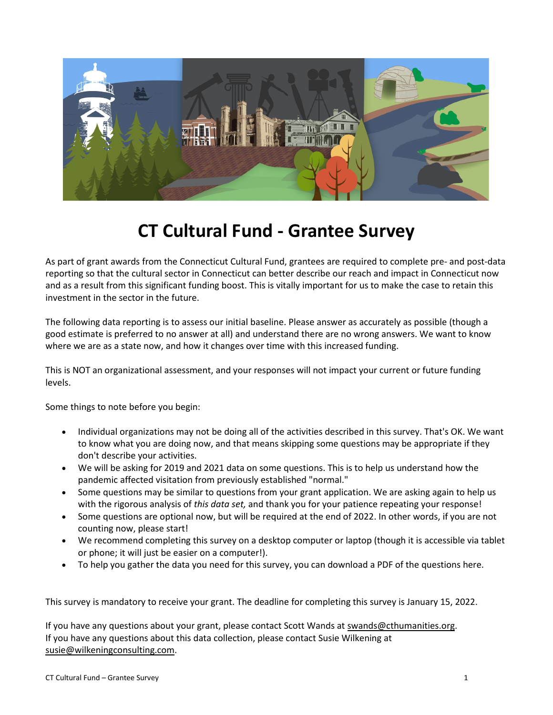

# **CT Cultural Fund - Grantee Survey**

As part of grant awards from the Connecticut Cultural Fund, grantees are required to complete pre- and post-data reporting so that the cultural sector in Connecticut can better describe our reach and impact in Connecticut now and as a result from this significant funding boost. This is vitally important for us to make the case to retain this investment in the sector in the future.

The following data reporting is to assess our initial baseline. Please answer as accurately as possible (though a good estimate is preferred to no answer at all) and understand there are no wrong answers. We want to know where we are as a state now, and how it changes over time with this increased funding.

This is NOT an organizational assessment, and your responses will not impact your current or future funding levels.

Some things to note before you begin:

- Individual organizations may not be doing all of the activities described in this survey. That's OK. We want to know what you are doing now, and that means skipping some questions may be appropriate if they don't describe your activities.
- We will be asking for 2019 and 2021 data on some questions. This is to help us understand how the pandemic affected visitation from previously established "normal."
- Some questions may be similar to questions from your grant application. We are asking again to help us with the rigorous analysis of *this data set,* and thank you for your patience repeating your response!
- Some questions are optional now, but will be required at the end of 2022. In other words, if you are not counting now, please start!
- We recommend completing this survey on a desktop computer or laptop (though it is accessible via tablet or phone; it will just be easier on a computer!).
- To help you gather the data you need for this survey, you can download a PDF of the questions here.

This survey is mandatory to receive your grant. The deadline for completing this survey is January 15, 2022.

If you have any questions about your grant, please contact Scott Wands at swands@cthumanities.org. If you have any questions about this data collection, please contact Susie Wilkening at susie@wilkeningconsulting.com.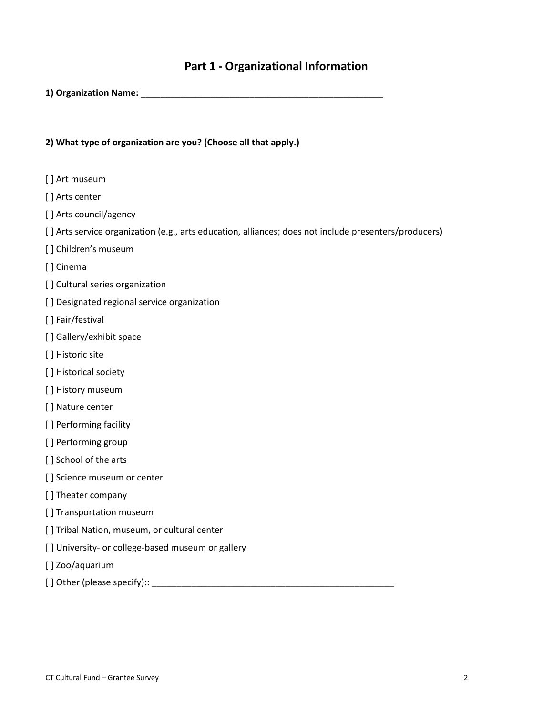# **Part 1 - Organizational Information**

**1) Organization Name:** \_\_\_\_\_\_\_\_\_\_\_\_\_\_\_\_\_\_\_\_\_\_\_\_\_\_\_\_\_\_\_\_\_\_\_\_\_\_\_\_\_\_\_\_\_\_\_\_\_

## **2) What type of organization are you? (Choose all that apply.)**

- [] Art museum
- [] Arts center
- [] Arts council/agency
- [ ] Arts service organization (e.g., arts education, alliances; does not include presenters/producers)
- [] Children's museum
- [ ] Cinema
- [] Cultural series organization
- [ ] Designated regional service organization
- [ ] Fair/festival
- [ ] Gallery/exhibit space
- [] Historic site
- [ ] Historical society
- [] History museum
- [ ] Nature center
- [] Performing facility
- [] Performing group
- [] School of the arts
- [] Science museum or center
- [ ] Theater company
- [ ] Transportation museum
- [ ] Tribal Nation, museum, or cultural center
- [] University- or college-based museum or gallery
- [ ] Zoo/aquarium
- [ ] Other (please specify):: \_\_\_\_\_\_\_\_\_\_\_\_\_\_\_\_\_\_\_\_\_\_\_\_\_\_\_\_\_\_\_\_\_\_\_\_\_\_\_\_\_\_\_\_\_\_\_\_\_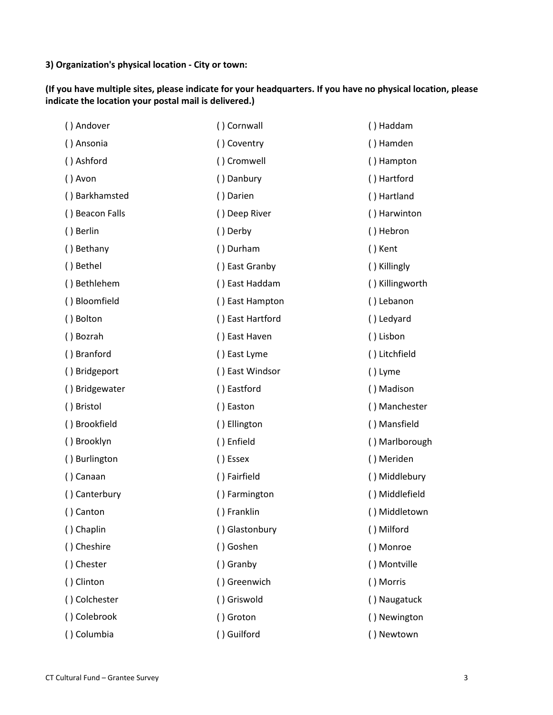**3) Organization's physical location - City or town:**

**(If you have multiple sites, please indicate for your headquarters. If you have no physical location, please indicate the location your postal mail is delivered.)**

| () Andover      | () Cornwall      | () Haddam       |
|-----------------|------------------|-----------------|
| () Ansonia      | () Coventry      | () Hamden       |
| () Ashford      | () Cromwell      | () Hampton      |
| () Avon         | () Danbury       | () Hartford     |
| () Barkhamsted  | () Darien        | () Hartland     |
| () Beacon Falls | () Deep River    | () Harwinton    |
| () Berlin       | () Derby         | () Hebron       |
| () Bethany      | () Durham        | () Kent         |
| () Bethel       | () East Granby   | () Killingly    |
| () Bethlehem    | () East Haddam   | () Killingworth |
| () Bloomfield   | () East Hampton  | () Lebanon      |
| () Bolton       | () East Hartford | () Ledyard      |
| () Bozrah       | () East Haven    | () Lisbon       |
| () Branford     | () East Lyme     | () Litchfield   |
| () Bridgeport   | () East Windsor  | () Lyme         |
| () Bridgewater  | () Eastford      | () Madison      |
| () Bristol      | () Easton        | () Manchester   |
| () Brookfield   | () Ellington     | () Mansfield    |
| () Brooklyn     | () Enfield       | () Marlborough  |
| () Burlington   | () Essex         | () Meriden      |
| () Canaan       | () Fairfield     | () Middlebury   |
| () Canterbury   | () Farmington    | () Middlefield  |
| () Canton       | () Franklin      | () Middletown   |
| () Chaplin      | () Glastonbury   | () Milford      |
| () Cheshire     | () Goshen        | () Monroe       |
| () Chester      | () Granby        | () Montville    |
| () Clinton      | () Greenwich     | () Morris       |
| () Colchester   | () Griswold      | () Naugatuck    |
| () Colebrook    | () Groton        | () Newington    |
| () Columbia     | () Guilford      | () Newtown      |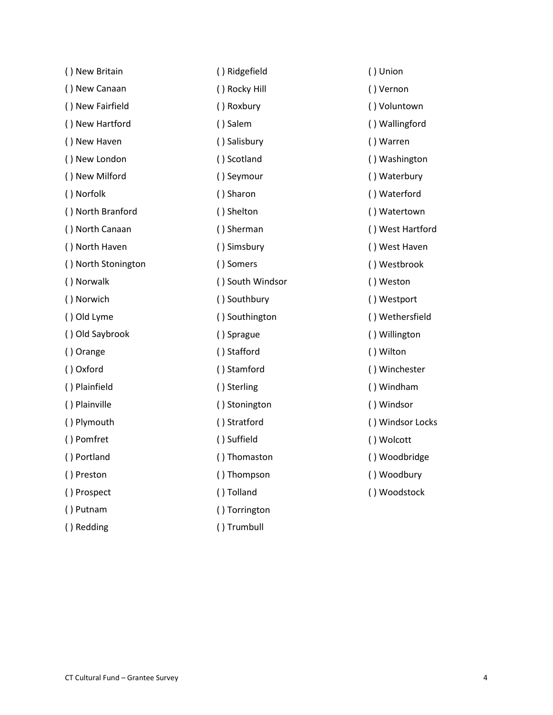| () New Britain      | () Ridgefield    | $\left( \ \right)$ |
|---------------------|------------------|--------------------|
| () New Canaan       | () Rocky Hill    | $\left( \ \right)$ |
| () New Fairfield    | () Roxbury       | $\left( \ \right)$ |
| () New Hartford     | () Salem         | $\left( \ \right)$ |
| () New Haven        | () Salisbury     | $\left( \ \right)$ |
| () New London       | () Scotland      | $\left( \ \right)$ |
| () New Milford      | () Seymour       | $\left( \ \right)$ |
| () Norfolk          | () Sharon        | $\left( \ \right)$ |
| () North Branford   | () Shelton       | $\left( \ \right)$ |
| () North Canaan     | () Sherman       | $\left( \ \right)$ |
| () North Haven      | () Simsbury      | $\left( \ \right)$ |
| () North Stonington | () Somers        | $\left( \ \right)$ |
| () Norwalk          | () South Windsor | $\left( \ \right)$ |
| () Norwich          | () Southbury     | $\left( \ \right)$ |
| () Old Lyme         | () Southington   | $\left( \ \right)$ |
| () Old Saybrook     | () Sprague       | $\left( \ \right)$ |
| () Orange           | () Stafford      | $\left( \ \right)$ |
| () Oxford           | () Stamford      | $\left( \ \right)$ |
| () Plainfield       | () Sterling      | $\left( \ \right)$ |
| () Plainville       | () Stonington    | $\left( \ \right)$ |
| () Plymouth         | () Stratford     | $\left( \ \right)$ |
| () Pomfret          | () Suffield      | $\left( \ \right)$ |
| () Portland         | () Thomaston     | $\left( \ \right)$ |
| () Preston          | () Thompson      | $\left( \ \right)$ |
| () Prospect         | () Tolland       | $\left( \ \right)$ |
| () Putnam           | () Torrington    |                    |
| () Redding          | () Trumbull      |                    |

Union **Vernon** ( ) Voluntown **Wallingford Warren** Washington **Waterbury Waterford Watertown** West Hartford West Haven Westbrook **Weston** Westport Wethersfield **Willington Wilton Winchester** ( ) Windham **Windsor** Windsor Locks Wolcott Woodbridge **Woodbury Woodstock**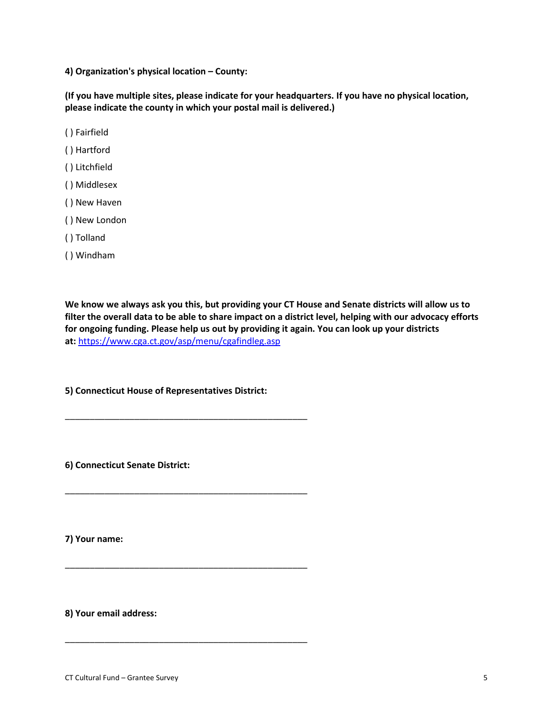**4) Organization's physical location – County:**

**(If you have multiple sites, please indicate for your headquarters. If you have no physical location, please indicate the county in which your postal mail is delivered.)**

- ( ) Fairfield
- ( ) Hartford
- ( ) Litchfield
- ( ) Middlesex
- ( ) New Haven
- ( ) New London
- ( ) Tolland
- ( ) Windham

**We know we always ask you this, but providing your CT House and Senate districts will allow us to filter the overall data to be able to share impact on a district level, helping with our advocacy efforts for ongoing funding. Please help us out by providing it again. You can look up your districts at:** <https://www.cga.ct.gov/asp/menu/cgafindleg.asp>

**5) Connecticut House of Representatives District:**

\_\_\_\_\_\_\_\_\_\_\_\_\_\_\_\_\_\_\_\_\_\_\_\_\_\_\_\_\_\_\_\_\_\_\_\_\_\_\_\_\_\_\_\_\_\_\_\_\_

\_\_\_\_\_\_\_\_\_\_\_\_\_\_\_\_\_\_\_\_\_\_\_\_\_\_\_\_\_\_\_\_\_\_\_\_\_\_\_\_\_\_\_\_\_\_\_\_\_

\_\_\_\_\_\_\_\_\_\_\_\_\_\_\_\_\_\_\_\_\_\_\_\_\_\_\_\_\_\_\_\_\_\_\_\_\_\_\_\_\_\_\_\_\_\_\_\_\_

\_\_\_\_\_\_\_\_\_\_\_\_\_\_\_\_\_\_\_\_\_\_\_\_\_\_\_\_\_\_\_\_\_\_\_\_\_\_\_\_\_\_\_\_\_\_\_\_\_

**6) Connecticut Senate District:**

**7) Your name:**

**8) Your email address:**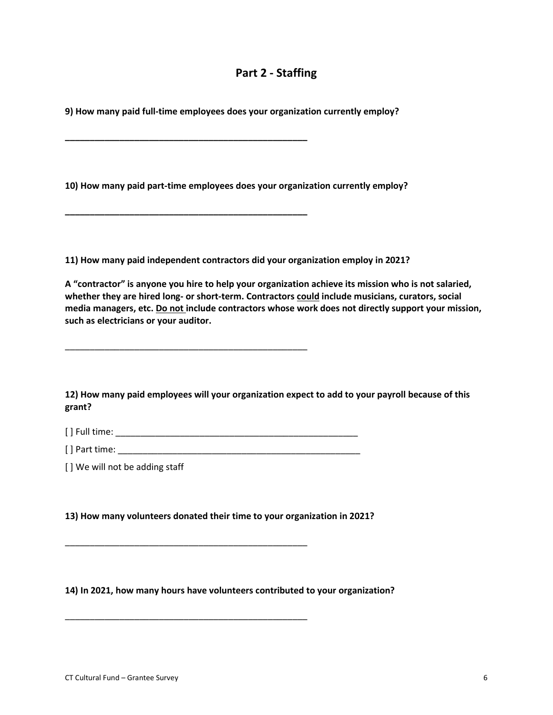# **Part 2 - Staffing**

**9) How many paid full-time employees does your organization currently employ?**

**\_\_\_\_\_\_\_\_\_\_\_\_\_\_\_\_\_\_\_\_\_\_\_\_\_\_\_\_\_\_\_\_\_\_\_\_\_\_\_\_\_\_\_\_\_\_\_\_\_**

**\_\_\_\_\_\_\_\_\_\_\_\_\_\_\_\_\_\_\_\_\_\_\_\_\_\_\_\_\_\_\_\_\_\_\_\_\_\_\_\_\_\_\_\_\_\_\_\_\_**

\_\_\_\_\_\_\_\_\_\_\_\_\_\_\_\_\_\_\_\_\_\_\_\_\_\_\_\_\_\_\_\_\_\_\_\_\_\_\_\_\_\_\_\_\_\_\_\_\_

**10) How many paid part-time employees does your organization currently employ?**

**11) How many paid independent contractors did your organization employ in 2021?**

**A "contractor" is anyone you hire to help your organization achieve its mission who is not salaried, whether they are hired long- or short-term. Contractors could include musicians, curators, social media managers, etc. Do not include contractors whose work does not directly support your mission, such as electricians or your auditor.**

**12) How many paid employees will your organization expect to add to your payroll because of this grant?**

[ ] Full time: \_\_\_\_\_\_\_\_\_\_\_\_\_\_\_\_\_\_\_\_\_\_\_\_\_\_\_\_\_\_\_\_\_\_\_\_\_\_\_\_\_\_\_\_\_\_\_\_\_

 $[$  ] Part time:

[] We will not be adding staff

**13) How many volunteers donated their time to your organization in 2021?**

\_\_\_\_\_\_\_\_\_\_\_\_\_\_\_\_\_\_\_\_\_\_\_\_\_\_\_\_\_\_\_\_\_\_\_\_\_\_\_\_\_\_\_\_\_\_\_\_\_

\_\_\_\_\_\_\_\_\_\_\_\_\_\_\_\_\_\_\_\_\_\_\_\_\_\_\_\_\_\_\_\_\_\_\_\_\_\_\_\_\_\_\_\_\_\_\_\_\_

**14) In 2021, how many hours have volunteers contributed to your organization?**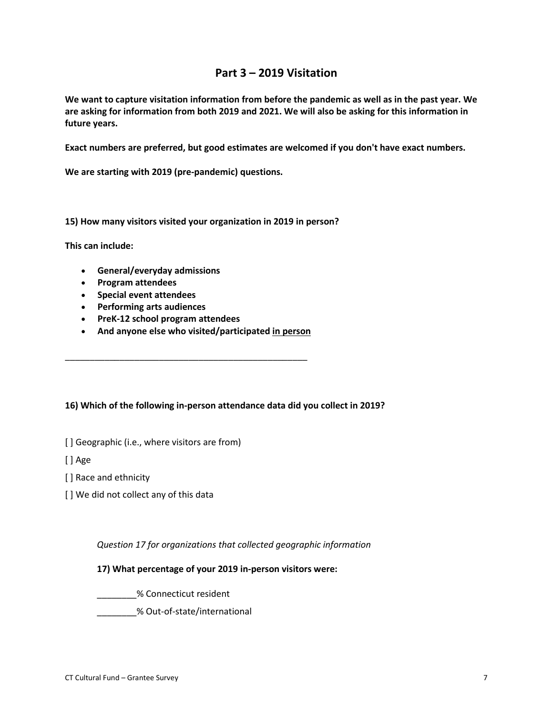# **Part 3 – 2019 Visitation**

**We want to capture visitation information from before the pandemic as well as in the past year. We are asking for information from both 2019 and 2021. We will also be asking for this information in future years.**

**Exact numbers are preferred, but good estimates are welcomed if you don't have exact numbers.**

**We are starting with 2019 (pre-pandemic) questions.**

**15) How many visitors visited your organization in 2019 in person?**

**This can include:**

- **General/everyday admissions**
- **Program attendees**
- **Special event attendees**
- **Performing arts audiences**
- **PreK-12 school program attendees**
- **And anyone else who visited/participated in person**

\_\_\_\_\_\_\_\_\_\_\_\_\_\_\_\_\_\_\_\_\_\_\_\_\_\_\_\_\_\_\_\_\_\_\_\_\_\_\_\_\_\_\_\_\_\_\_\_\_

#### **16) Which of the following in-person attendance data did you collect in 2019?**

[] Geographic (i.e., where visitors are from)

[ ] Age

[ ] Race and ethnicity

[] We did not collect any of this data

*Question 17 for organizations that collected geographic information*

#### **17) What percentage of your 2019 in-person visitors were:**

\_\_\_\_\_\_\_\_% Connecticut resident

\_\_\_\_\_\_\_\_% Out-of-state/international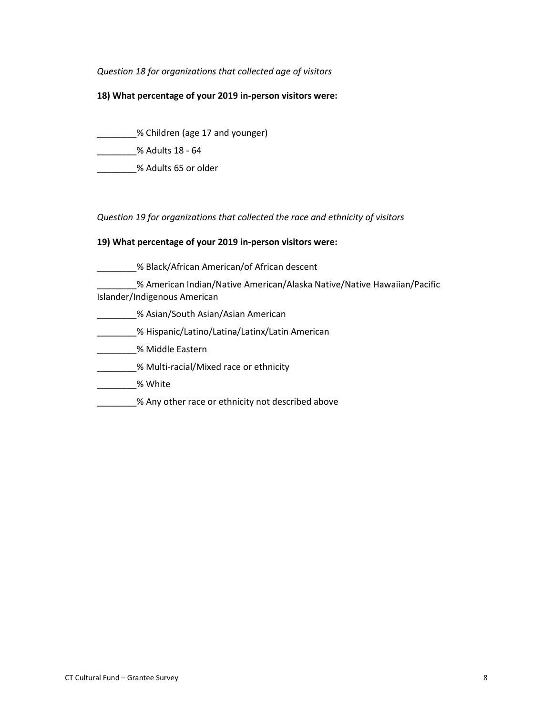#### *Question 18 for organizations that collected age of visitors*

#### **18) What percentage of your 2019 in-person visitors were:**

\_\_\_\_\_\_\_\_% Children (age 17 and younger)

\_\_\_\_\_\_\_\_% Adults 18 - 64

\_\_\_\_\_\_\_\_% Adults 65 or older

*Question 19 for organizations that collected the race and ethnicity of visitors*

#### **19) What percentage of your 2019 in-person visitors were:**

- \_\_\_\_\_\_\_% Black/African American/of African descent
- \_\_\_\_\_\_\_\_% American Indian/Native American/Alaska Native/Native Hawaiian/Pacific Islander/Indigenous American
- \_\_\_\_\_\_\_\_% Asian/South Asian/Asian American
- \_\_\_\_\_\_\_\_% Hispanic/Latino/Latina/Latinx/Latin American
- \_\_\_\_\_\_\_\_% Middle Eastern
- **\_\_\_\_\_\_\_\_% Multi-racial/Mixed race or ethnicity**
- \_\_\_\_\_\_\_\_% White
- % Any other race or ethnicity not described above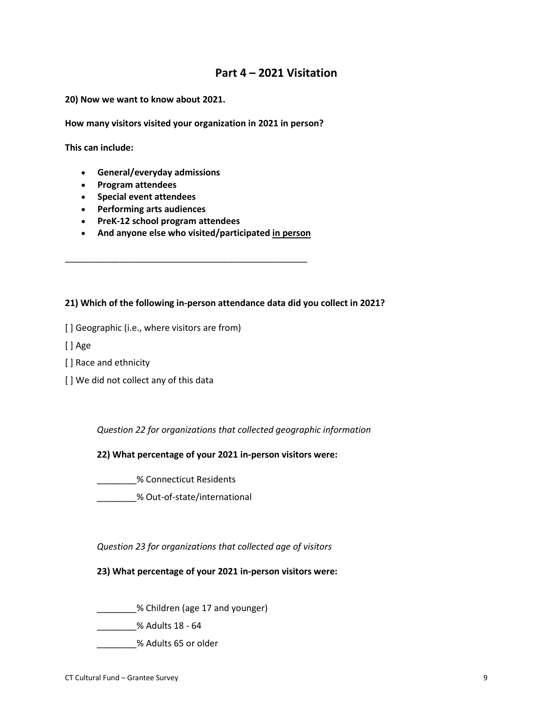# **Part 4 – 2021 Visitation**

**20) Now we want to know about 2021.**

**How many visitors visited your organization in 2021 in person?**

**This can include:**

- **General/everyday admissions**
- **Program attendees**
- **Special event attendees**
- **Performing arts audiences**
- **PreK-12 school program attendees**
- **And anyone else who visited/participated in person**

\_\_\_\_\_\_\_\_\_\_\_\_\_\_\_\_\_\_\_\_\_\_\_\_\_\_\_\_\_\_\_\_\_\_\_\_\_\_\_\_\_\_\_\_\_\_\_\_\_

#### **21) Which of the following in-person attendance data did you collect in 2021?**

[ ] Geographic (i.e., where visitors are from)

[ ] Age

- [ ] Race and ethnicity
- [] We did not collect any of this data

*Question 22 for organizations that collected geographic information*

#### **22) What percentage of your 2021 in-person visitors were:**

\_\_\_\_\_\_\_\_% Connecticut Residents

\_\_\_\_\_\_\_\_% Out-of-state/international

*Question 23 for organizations that collected age of visitors*

#### **23) What percentage of your 2021 in-person visitors were:**

\_\_\_\_\_\_\_\_% Children (age 17 and younger)

\_\_\_\_\_\_\_\_% Adults 18 - 64

\_\_\_\_\_\_\_\_% Adults 65 or older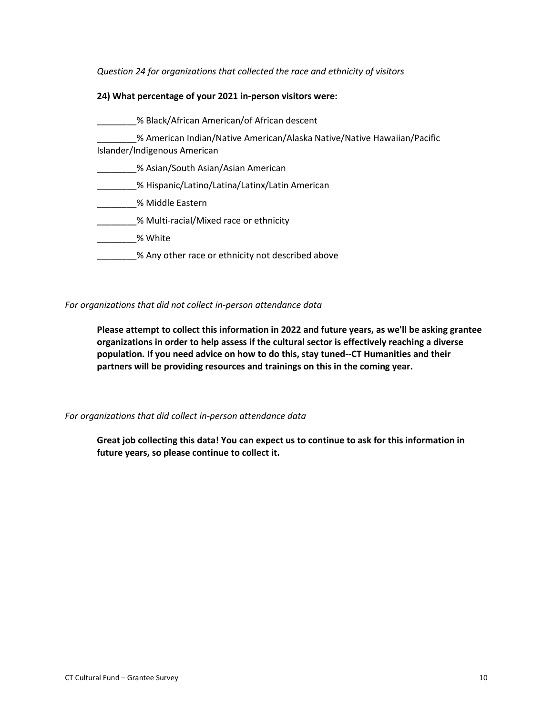*Question 24 for organizations that collected the race and ethnicity of visitors*

#### **24) What percentage of your 2021 in-person visitors were:**

- \_\_\_\_\_\_\_\_% Black/African American/of African descent \_\_\_\_\_\_\_\_% American Indian/Native American/Alaska Native/Native Hawaiian/Pacific Islander/Indigenous American \_\_\_\_\_\_\_\_% Asian/South Asian/Asian American \_\_\_\_\_\_\_\_% Hispanic/Latino/Latina/Latinx/Latin American \_\_\_\_\_\_\_\_% Middle Eastern \_\_\_\_\_\_\_\_% Multi-racial/Mixed race or ethnicity
- \_\_\_\_\_\_\_\_% White
- % Any other race or ethnicity not described above

#### *For organizations that did not collect in-person attendance data*

**Please attempt to collect this information in 2022 and future years, as we'll be asking grantee organizations in order to help assess if the cultural sector is effectively reaching a diverse population. If you need advice on how to do this, stay tuned--CT Humanities and their partners will be providing resources and trainings on this in the coming year.**

*For organizations that did collect in-person attendance data*

**Great job collecting this data! You can expect us to continue to ask for this information in future years, so please continue to collect it.**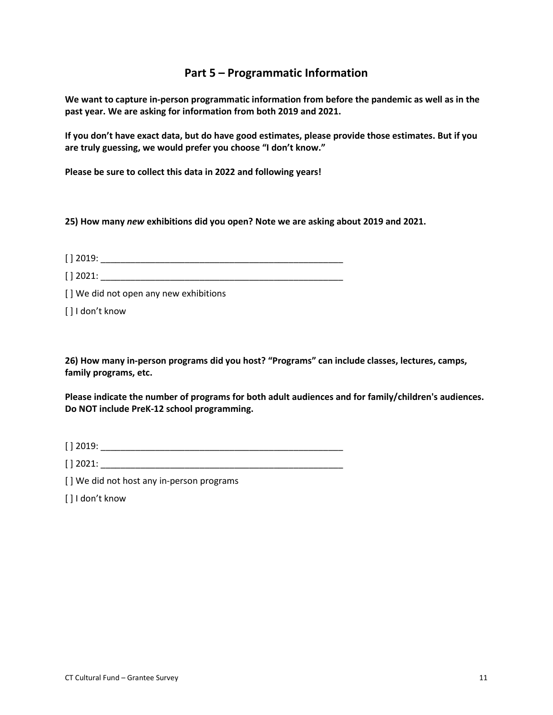# **Part 5 – Programmatic Information**

**We want to capture in-person programmatic information from before the pandemic as well as in the past year. We are asking for information from both 2019 and 2021.**

**If you don't have exact data, but do have good estimates, please provide those estimates. But if you are truly guessing, we would prefer you choose "I don't know."**

**Please be sure to collect this data in 2022 and following years!**

**25) How many** *new* **exhibitions did you open? Note we are asking about 2019 and 2021.**

 $[ ] 2019:$ 

| 12001.<br>LULL.<br><b>LJ</b> |  |  |
|------------------------------|--|--|
|                              |  |  |

[] We did not open any new exhibitions

[] I don't know

**26) How many in-person programs did you host? "Programs" can include classes, lectures, camps, family programs, etc.**

**Please indicate the number of programs for both adult audiences and for family/children's audiences. Do NOT include PreK-12 school programming.**

[ ] 2019: \_\_\_\_\_\_\_\_\_\_\_\_\_\_\_\_\_\_\_\_\_\_\_\_\_\_\_\_\_\_\_\_\_\_\_\_\_\_\_\_\_\_\_\_\_\_\_\_\_

 $\lceil$  2021:

[] We did not host any in-person programs

[] I don't know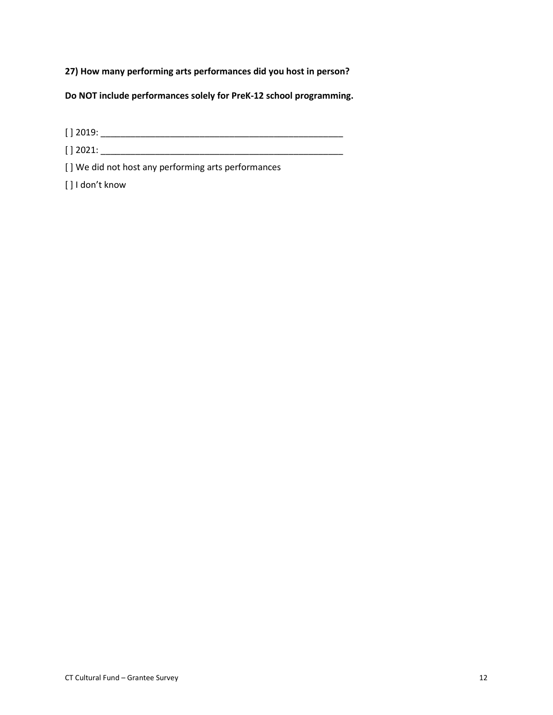**27) How many performing arts performances did you host in person?**

**Do NOT include performances solely for PreK-12 school programming.**

[ ] 2019: \_\_\_\_\_\_\_\_\_\_\_\_\_\_\_\_\_\_\_\_\_\_\_\_\_\_\_\_\_\_\_\_\_\_\_\_\_\_\_\_\_\_\_\_\_\_\_\_\_

[ ] 2021: \_\_\_\_\_\_\_\_\_\_\_\_\_\_\_\_\_\_\_\_\_\_\_\_\_\_\_\_\_\_\_\_\_\_\_\_\_\_\_\_\_\_\_\_\_\_\_\_\_

[] We did not host any performing arts performances

[ ] I don't know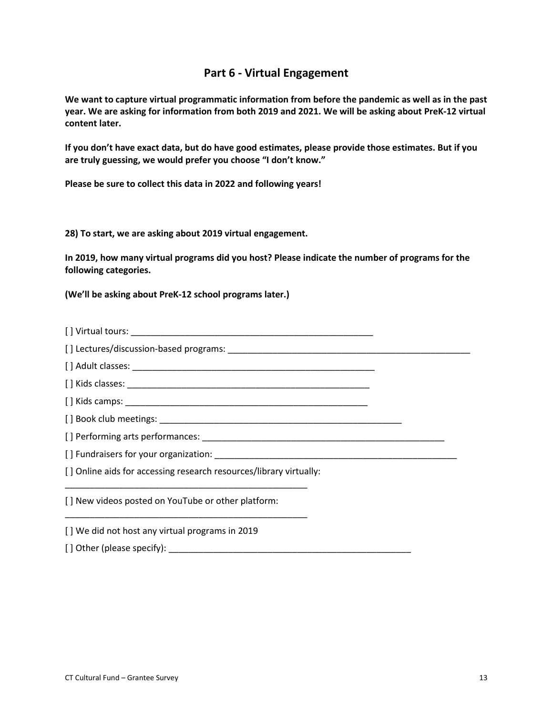# **Part 6 - Virtual Engagement**

**We want to capture virtual programmatic information from before the pandemic as well as in the past year. We are asking for information from both 2019 and 2021. We will be asking about PreK-12 virtual content later.**

**If you don't have exact data, but do have good estimates, please provide those estimates. But if you are truly guessing, we would prefer you choose "I don't know."**

**Please be sure to collect this data in 2022 and following years!**

**28) To start, we are asking about 2019 virtual engagement.**

**In 2019, how many virtual programs did you host? Please indicate the number of programs for the following categories.**

**(We'll be asking about PreK-12 school programs later.)**

| [] Virtual tours:                      |  |
|----------------------------------------|--|
| [1] actures/discussion based programs: |  |

[ ] Lectures/discussion-based programs: \_\_\_\_\_\_\_\_\_\_\_\_\_\_\_\_\_\_\_\_\_\_\_\_\_\_\_\_\_\_\_\_\_\_\_\_\_\_\_\_\_\_\_\_\_\_\_\_\_

[ ] Adult classes: \_\_\_\_\_\_\_\_\_\_\_\_\_\_\_\_\_\_\_\_\_\_\_\_\_\_\_\_\_\_\_\_\_\_\_\_\_\_\_\_\_\_\_\_\_\_\_\_\_

[ ] Kids classes: \_\_\_\_\_\_\_\_\_\_\_\_\_\_\_\_\_\_\_\_\_\_\_\_\_\_\_\_\_\_\_\_\_\_\_\_\_\_\_\_\_\_\_\_\_\_\_\_\_

[ ] Kids camps: \_\_\_\_\_\_\_\_\_\_\_\_\_\_\_\_\_\_\_\_\_\_\_\_\_\_\_\_\_\_\_\_\_\_\_\_\_\_\_\_\_\_\_\_\_\_\_\_\_

[ ] Book club meetings:

[ ] Performing arts performances: \_\_\_\_\_\_\_\_\_\_\_\_\_\_\_\_\_\_\_\_\_\_\_\_\_\_\_\_\_\_\_\_\_\_\_\_\_\_\_\_\_\_\_\_\_\_\_\_\_

[] Fundraisers for your organization:

[] Online aids for accessing research resources/library virtually:

\_\_\_\_\_\_\_\_\_\_\_\_\_\_\_\_\_\_\_\_\_\_\_\_\_\_\_\_\_\_\_\_\_\_\_\_\_\_\_\_\_\_\_\_\_\_\_\_\_

\_\_\_\_\_\_\_\_\_\_\_\_\_\_\_\_\_\_\_\_\_\_\_\_\_\_\_\_\_\_\_\_\_\_\_\_\_\_\_\_\_\_\_\_\_\_\_\_\_

[ ] New videos posted on YouTube or other platform:

[ ] We did not host any virtual programs in 2019

[ ] Other (please specify): \_\_\_\_\_\_\_\_\_\_\_\_\_\_\_\_\_\_\_\_\_\_\_\_\_\_\_\_\_\_\_\_\_\_\_\_\_\_\_\_\_\_\_\_\_\_\_\_\_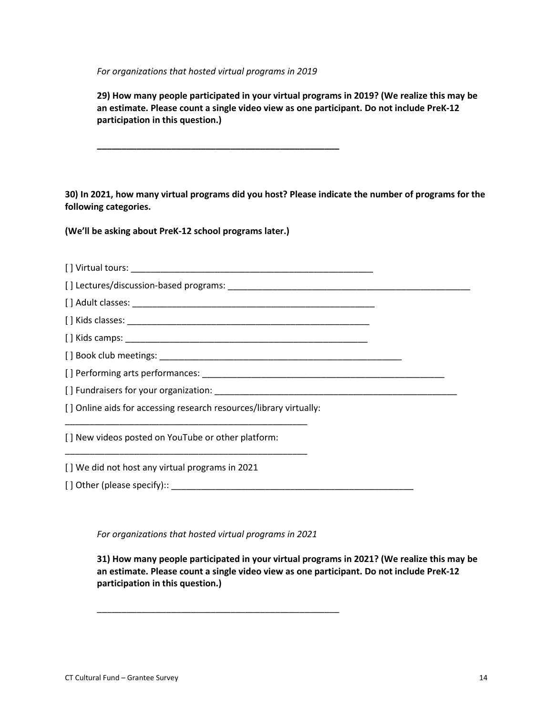*For organizations that hosted virtual programs in 2019*

**\_\_\_\_\_\_\_\_\_\_\_\_\_\_\_\_\_\_\_\_\_\_\_\_\_\_\_\_\_\_\_\_\_\_\_\_\_\_\_\_\_\_\_\_\_\_\_\_\_**

**29) How many people participated in your virtual programs in 2019? (We realize this may be an estimate. Please count a single video view as one participant. Do not include PreK-12 participation in this question.)**

**30) In 2021, how many virtual programs did you host? Please indicate the number of programs for the following categories.**

**(We'll be asking about PreK-12 school programs later.)**

| [] Online aids for accessing research resources/library virtually: |  |
|--------------------------------------------------------------------|--|
| [] New videos posted on YouTube or other platform:                 |  |
| [] We did not host any virtual programs in 2021                    |  |
|                                                                    |  |

*For organizations that hosted virtual programs in 2021*

\_\_\_\_\_\_\_\_\_\_\_\_\_\_\_\_\_\_\_\_\_\_\_\_\_\_\_\_\_\_\_\_\_\_\_\_\_\_\_\_\_\_\_\_\_\_\_\_\_

**31) How many people participated in your virtual programs in 2021? (We realize this may be an estimate. Please count a single video view as one participant. Do not include PreK-12 participation in this question.)**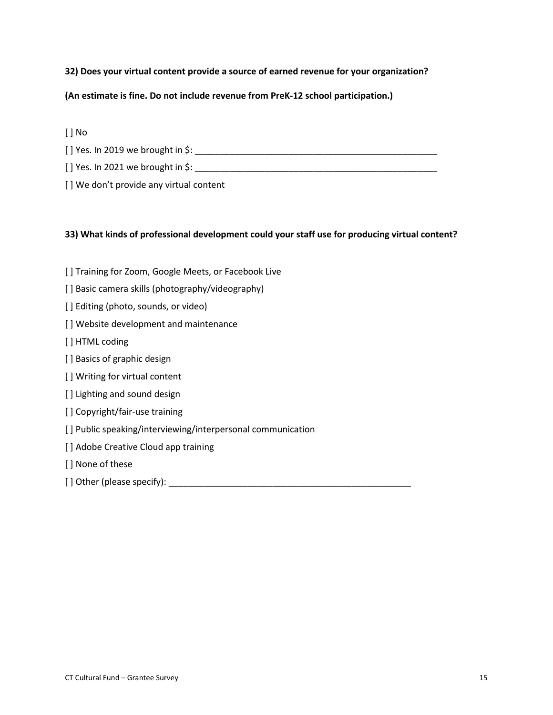## **32) Does your virtual content provide a source of earned revenue for your organization?**

## **(An estimate is fine. Do not include revenue from PreK-12 school participation.)**

[ ] No

[ ] Yes. In 2019 we brought in \$: \_\_\_\_\_\_\_\_\_\_\_\_\_\_\_\_\_\_\_\_\_\_\_\_\_\_\_\_\_\_\_\_\_\_\_\_\_\_\_\_\_\_\_\_\_\_\_\_\_

[ ] Yes. In 2021 we brought in \$: \_\_\_\_\_\_\_\_\_\_\_\_\_\_\_\_\_\_\_\_\_\_\_\_\_\_\_\_\_\_\_\_\_\_\_\_\_\_\_\_\_\_\_\_\_\_\_\_\_

[] We don't provide any virtual content

## **33) What kinds of professional development could your staff use for producing virtual content?**

- [ ] Training for Zoom, Google Meets, or Facebook Live
- [] Basic camera skills (photography/videography)
- [] Editing (photo, sounds, or video)
- [] Website development and maintenance
- [ ] HTML coding
- [ ] Basics of graphic design
- [] Writing for virtual content
- [] Lighting and sound design
- [ ] Copyright/fair-use training
- [ ] Public speaking/interviewing/interpersonal communication
- [] Adobe Creative Cloud app training
- [] None of these
- [ ] Other (please specify):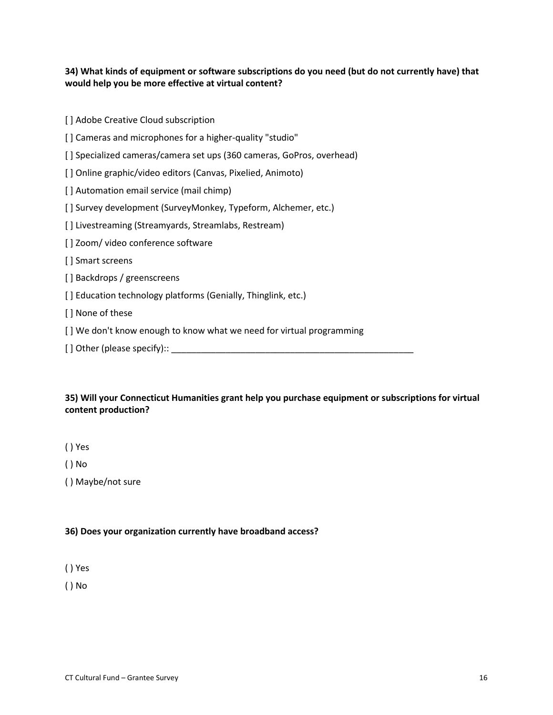## **34) What kinds of equipment or software subscriptions do you need (but do not currently have) that would help you be more effective at virtual content?**

[ ] Adobe Creative Cloud subscription

[ ] Cameras and microphones for a higher-quality "studio"

[] Specialized cameras/camera set ups (360 cameras, GoPros, overhead)

[ ] Online graphic/video editors (Canvas, Pixelied, Animoto)

[] Automation email service (mail chimp)

[ ] Survey development (SurveyMonkey, Typeform, Alchemer, etc.)

[] Livestreaming (Streamyards, Streamlabs, Restream)

[ ] Zoom/ video conference software

[] Smart screens

[] Backdrops / greenscreens

[] Education technology platforms (Genially, Thinglink, etc.)

[ ] None of these

[] We don't know enough to know what we need for virtual programming

[ ] Other (please specify):: \_\_\_\_\_\_\_\_\_\_\_\_\_\_\_\_\_\_\_\_\_\_\_\_\_\_\_\_\_\_\_\_\_\_\_\_\_\_\_\_\_\_\_\_\_\_\_\_\_

## **35) Will your Connecticut Humanities grant help you purchase equipment or subscriptions for virtual content production?**

( ) Yes

( ) No

( ) Maybe/not sure

## **36) Does your organization currently have broadband access?**

( ) Yes

( ) No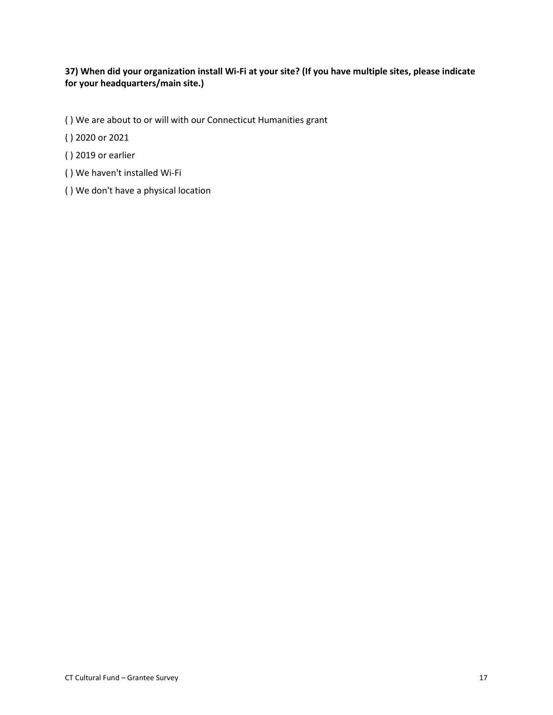# **37) When did your organization install Wi-Fi at your site? (If you have multiple sites, please indicate for your headquarters/main site.)**

- ( ) We are about to or will with our Connecticut Humanities grant
- ( ) 2020 or 2021
- ( ) 2019 or earlier
- ( ) We haven't installed Wi-Fi
- ( ) We don't have a physical location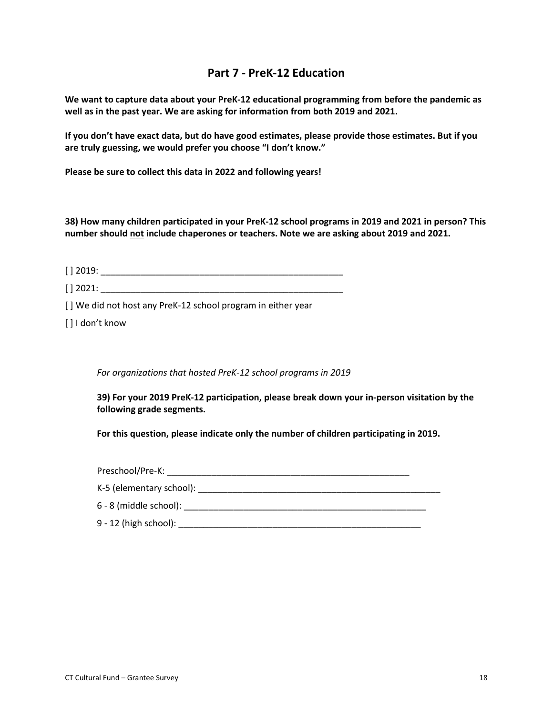# **Part 7 - PreK-12 Education**

**We want to capture data about your PreK-12 educational programming from before the pandemic as well as in the past year. We are asking for information from both 2019 and 2021.**

**If you don't have exact data, but do have good estimates, please provide those estimates. But if you are truly guessing, we would prefer you choose "I don't know."**

**Please be sure to collect this data in 2022 and following years!**

**38) How many children participated in your PreK-12 school programs in 2019 and 2021 in person? This number should not include chaperones or teachers. Note we are asking about 2019 and 2021.**

[ ] 2019: \_\_\_\_\_\_\_\_\_\_\_\_\_\_\_\_\_\_\_\_\_\_\_\_\_\_\_\_\_\_\_\_\_\_\_\_\_\_\_\_\_\_\_\_\_\_\_\_\_

[ ] 2021: \_\_\_\_\_\_\_\_\_\_\_\_\_\_\_\_\_\_\_\_\_\_\_\_\_\_\_\_\_\_\_\_\_\_\_\_\_\_\_\_\_\_\_\_\_\_\_\_\_

[] We did not host any PreK-12 school program in either year

[ ] I don't know

*For organizations that hosted PreK-12 school programs in 2019*

**39) For your 2019 PreK-12 participation, please break down your in-person visitation by the following grade segments.**

**For this question, please indicate only the number of children participating in 2019.**

| Preschool/Pre-K:         |  |
|--------------------------|--|
|                          |  |
| $6 - 8$ (middle school): |  |
| $9 - 12$ (high school):  |  |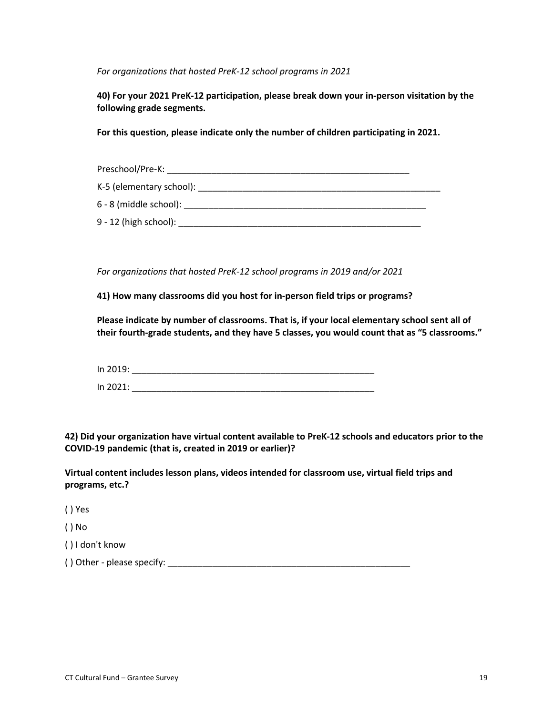*For organizations that hosted PreK-12 school programs in 2021*

**40) For your 2021 PreK-12 participation, please break down your in-person visitation by the following grade segments.**

**For this question, please indicate only the number of children participating in 2021.**

| Preschool/Pre-K:         |  |
|--------------------------|--|
| K-5 (elementary school): |  |
| 6 - 8 (middle school):   |  |
| $9 - 12$ (high school):  |  |

*For organizations that hosted PreK-12 school programs in 2019 and/or 2021*

**41) How many classrooms did you host for in-person field trips or programs?**

**Please indicate by number of classrooms. That is, if your local elementary school sent all of their fourth-grade students, and they have 5 classes, you would count that as "5 classrooms."**

| In 2019: |  |  |  |
|----------|--|--|--|
| In 2021: |  |  |  |

**42) Did your organization have virtual content available to PreK-12 schools and educators prior to the COVID-19 pandemic (that is, created in 2019 or earlier)?**

**Virtual content includes lesson plans, videos intended for classroom use, virtual field trips and programs, etc.?**

( ) Yes

( ) No

( ) I don't know

( ) Other - please specify: \_\_\_\_\_\_\_\_\_\_\_\_\_\_\_\_\_\_\_\_\_\_\_\_\_\_\_\_\_\_\_\_\_\_\_\_\_\_\_\_\_\_\_\_\_\_\_\_\_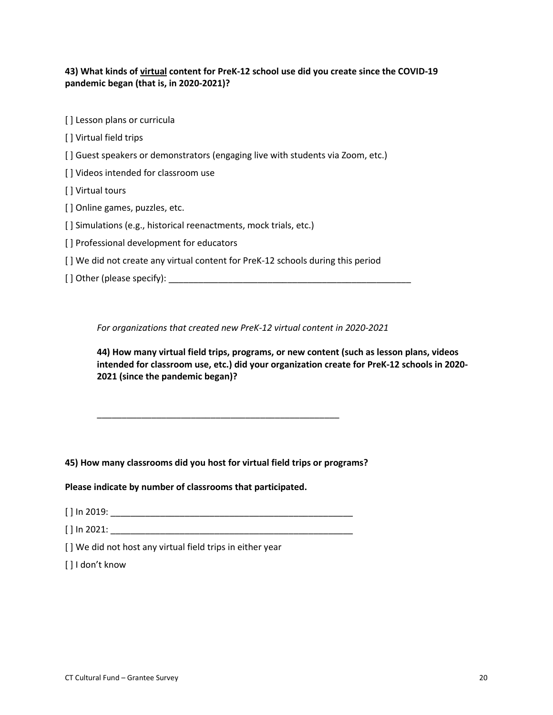## **43) What kinds of virtual content for PreK-12 school use did you create since the COVID-19 pandemic began (that is, in 2020-2021)?**

- [] Lesson plans or curricula
- [ ] Virtual field trips
- [] Guest speakers or demonstrators (engaging live with students via Zoom, etc.)
- [] Videos intended for classroom use
- [ ] Virtual tours
- [] Online games, puzzles, etc.
- [] Simulations (e.g., historical reenactments, mock trials, etc.)
- [ ] Professional development for educators
- [ ] We did not create any virtual content for PreK-12 schools during this period
- $[$ ] Other (please specify):

*For organizations that created new PreK-12 virtual content in 2020-2021*

**44) How many virtual field trips, programs, or new content (such as lesson plans, videos intended for classroom use, etc.) did your organization create for PreK-12 schools in 2020- 2021 (since the pandemic began)?**

#### **45) How many classrooms did you host for virtual field trips or programs?**

\_\_\_\_\_\_\_\_\_\_\_\_\_\_\_\_\_\_\_\_\_\_\_\_\_\_\_\_\_\_\_\_\_\_\_\_\_\_\_\_\_\_\_\_\_\_\_\_\_

**Please indicate by number of classrooms that participated.**

[ ] In 2019: \_\_\_\_\_\_\_\_\_\_\_\_\_\_\_\_\_\_\_\_\_\_\_\_\_\_\_\_\_\_\_\_\_\_\_\_\_\_\_\_\_\_\_\_\_\_\_\_\_

[ ] In 2021: \_\_\_\_\_\_\_\_\_\_\_\_\_\_\_\_\_\_\_\_\_\_\_\_\_\_\_\_\_\_\_\_\_\_\_\_\_\_\_\_\_\_\_\_\_\_\_\_\_

[] We did not host any virtual field trips in either year

[ ] I don't know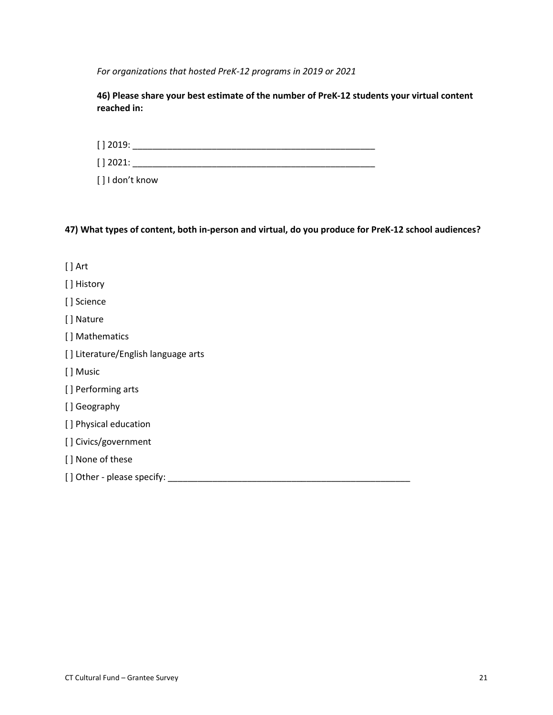*For organizations that hosted PreK-12 programs in 2019 or 2021*

**46) Please share your best estimate of the number of PreK-12 students your virtual content reached in:**

[ ] 2019: \_\_\_\_\_\_\_\_\_\_\_\_\_\_\_\_\_\_\_\_\_\_\_\_\_\_\_\_\_\_\_\_\_\_\_\_\_\_\_\_\_\_\_\_\_\_\_\_\_

[ ] 2021: \_\_\_\_\_\_\_\_\_\_\_\_\_\_\_\_\_\_\_\_\_\_\_\_\_\_\_\_\_\_\_\_\_\_\_\_\_\_\_\_\_\_\_\_\_\_\_\_\_

[ ] I don't know

**47) What types of content, both in-person and virtual, do you produce for PreK-12 school audiences?**

- [ ] Art [ ] History [ ] Science [ ] Nature [ ] Mathematics [ ] Literature/English language arts [ ] Music [ ] Performing arts [ ] Geography [] Physical education [] Civics/government [] None of these
- [ ] Other please specify: \_\_\_\_\_\_\_\_\_\_\_\_\_\_\_\_\_\_\_\_\_\_\_\_\_\_\_\_\_\_\_\_\_\_\_\_\_\_\_\_\_\_\_\_\_\_\_\_\_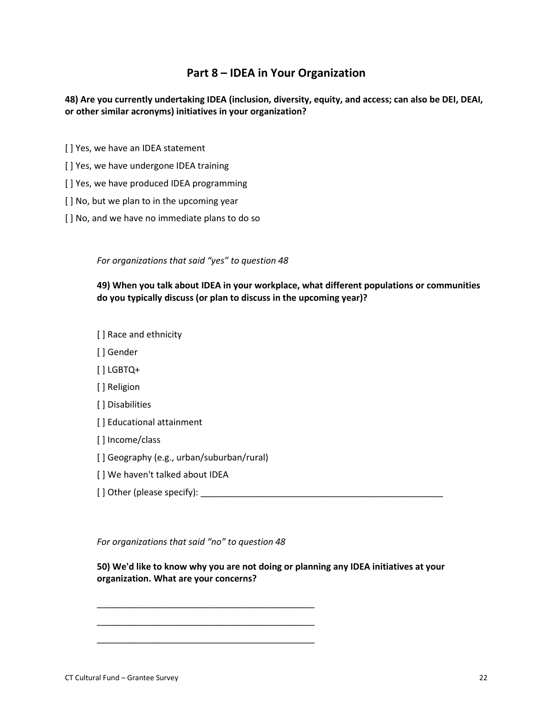# **Part 8 – IDEA in Your Organization**

**48) Are you currently undertaking IDEA (inclusion, diversity, equity, and access; can also be DEI, DEAI, or other similar acronyms) initiatives in your organization?**

- [ ] Yes, we have an IDEA statement
- [ ] Yes, we have undergone IDEA training
- [ ] Yes, we have produced IDEA programming
- [] No, but we plan to in the upcoming year
- [] No, and we have no immediate plans to do so

*For organizations that said "yes" to question 48*

**49) When you talk about IDEA in your workplace, what different populations or communities do you typically discuss (or plan to discuss in the upcoming year)?**

[ ] Race and ethnicity

- [ ] Gender
- [ ] LGBTQ+
- [ ] Religion
- [ ] Disabilities
- [] Educational attainment
- [ ] Income/class
- [ ] Geography (e.g., urban/suburban/rural)
- [ ] We haven't talked about IDEA
- [ ] Other (please specify): \_\_\_\_\_\_\_\_\_\_\_\_\_\_\_\_\_\_\_\_\_\_\_\_\_\_\_\_\_\_\_\_\_\_\_\_\_\_\_\_\_\_\_\_\_\_\_\_\_

*For organizations that said "no" to question 48*

\_\_\_\_\_\_\_\_\_\_\_\_\_\_\_\_\_\_\_\_\_\_\_\_\_\_\_\_\_\_\_\_\_\_\_\_\_\_\_\_\_\_\_\_ \_\_\_\_\_\_\_\_\_\_\_\_\_\_\_\_\_\_\_\_\_\_\_\_\_\_\_\_\_\_\_\_\_\_\_\_\_\_\_\_\_\_\_\_ \_\_\_\_\_\_\_\_\_\_\_\_\_\_\_\_\_\_\_\_\_\_\_\_\_\_\_\_\_\_\_\_\_\_\_\_\_\_\_\_\_\_\_\_

**50) We'd like to know why you are not doing or planning any IDEA initiatives at your organization. What are your concerns?**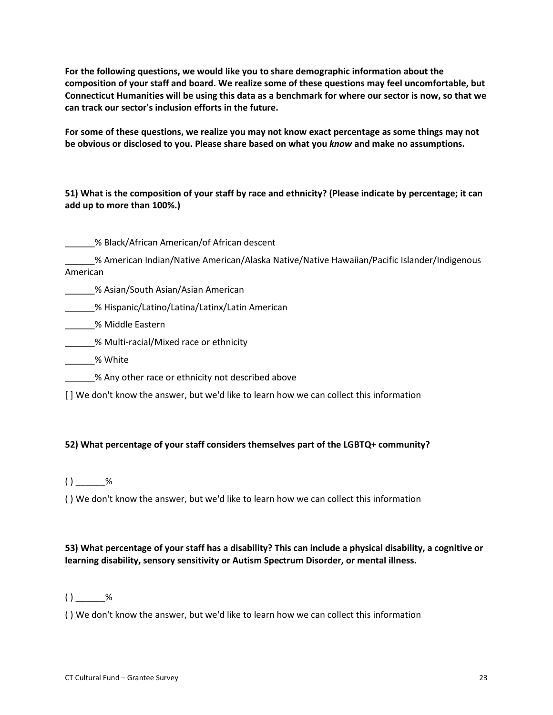**For the following questions, we would like you to share demographic information about the composition of your staff and board. We realize some of these questions may feel uncomfortable, but Connecticut Humanities will be using this data as a benchmark for where our sector is now, so that we can track our sector's inclusion efforts in the future.**

**For some of these questions, we realize you may not know exact percentage as some things may not be obvious or disclosed to you. Please share based on what you** *know* **and make no assumptions.**

**51) What is the composition of your staff by race and ethnicity? (Please indicate by percentage; it can add up to more than 100%.)**

\_\_\_\_\_\_% Black/African American/of African descent

\_\_\_\_\_\_% American Indian/Native American/Alaska Native/Native Hawaiian/Pacific Islander/Indigenous American

**\_\_\_\_\_\_\_% Asian/South Asian/Asian American** 

\_\_\_\_\_\_% Hispanic/Latino/Latina/Latinx/Latin American

\_\_\_\_\_\_% Middle Eastern

\_\_\_\_\_\_% Multi-racial/Mixed race or ethnicity

\_\_\_\_\_\_% White

\_\_\_\_\_\_% Any other race or ethnicity not described above

[ ] We don't know the answer, but we'd like to learn how we can collect this information

## **52) What percentage of your staff considers themselves part of the LGBTQ+ community?**

 $()$  \_\_\_\_\_\_%

( ) We don't know the answer, but we'd like to learn how we can collect this information

## **53) What percentage of your staff has a disability? This can include a physical disability, a cognitive or learning disability, sensory sensitivity or Autism Spectrum Disorder, or mental illness.**

 $( )$  %

( ) We don't know the answer, but we'd like to learn how we can collect this information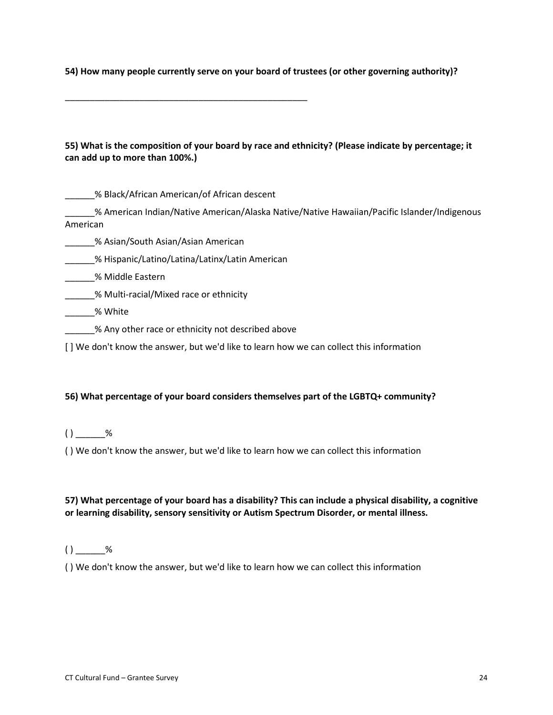**54) How many people currently serve on your board of trustees (or other governing authority)?**

## **55) What is the composition of your board by race and ethnicity? (Please indicate by percentage; it can add up to more than 100%.)**

\_\_\_\_\_\_% Black/African American/of African descent

\_\_\_\_\_\_\_\_\_\_\_\_\_\_\_\_\_\_\_\_\_\_\_\_\_\_\_\_\_\_\_\_\_\_\_\_\_\_\_\_\_\_\_\_\_\_\_\_\_

\_\_\_\_\_\_% American Indian/Native American/Alaska Native/Native Hawaiian/Pacific Islander/Indigenous American

\_\_\_\_\_\_% Asian/South Asian/Asian American

\_\_\_\_\_\_% Hispanic/Latino/Latina/Latinx/Latin American

\_\_\_\_\_\_% Middle Eastern

\_\_\_\_\_\_% Multi-racial/Mixed race or ethnicity

- \_\_\_\_\_\_% White
- \_\_\_\_\_\_% Any other race or ethnicity not described above

[ ] We don't know the answer, but we'd like to learn how we can collect this information

#### **56) What percentage of your board considers themselves part of the LGBTQ+ community?**

 $( )$  %

( ) We don't know the answer, but we'd like to learn how we can collect this information

## **57) What percentage of your board has a disability? This can include a physical disability, a cognitive or learning disability, sensory sensitivity or Autism Spectrum Disorder, or mental illness.**

#### $( )$  %

( ) We don't know the answer, but we'd like to learn how we can collect this information